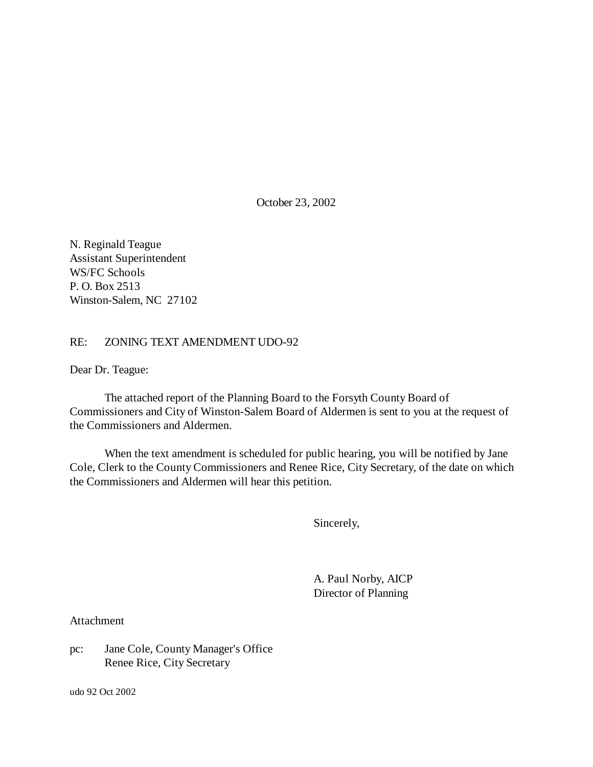October 23, 2002

N. Reginald Teague Assistant Superintendent WS/FC Schools P. O. Box 2513 Winston-Salem, NC 27102

### RE: ZONING TEXT AMENDMENT UDO-92

Dear Dr. Teague:

The attached report of the Planning Board to the Forsyth County Board of Commissioners and City of Winston-Salem Board of Aldermen is sent to you at the request of the Commissioners and Aldermen.

When the text amendment is scheduled for public hearing, you will be notified by Jane Cole, Clerk to the County Commissioners and Renee Rice, City Secretary, of the date on which the Commissioners and Aldermen will hear this petition.

Sincerely,

A. Paul Norby, AICP Director of Planning

Attachment

pc: Jane Cole, County Manager's Office Renee Rice, City Secretary

udo 92 Oct 2002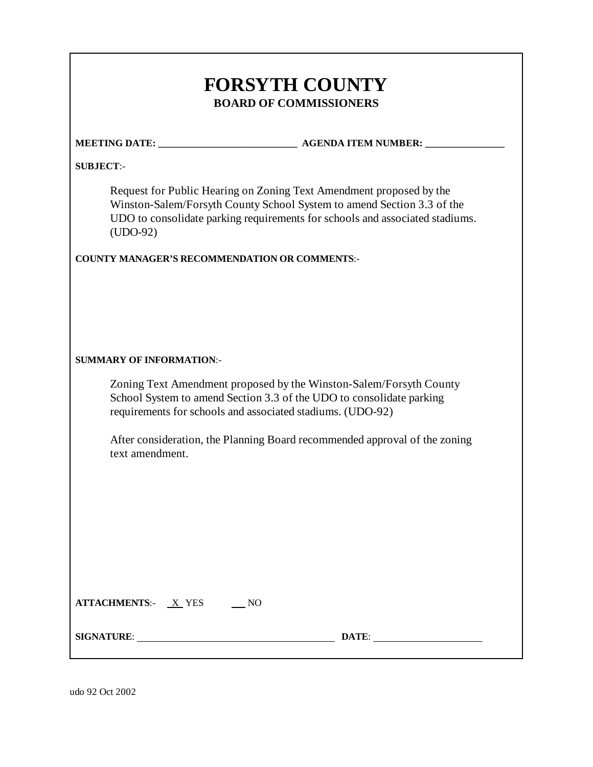| <b>SUBJECT:-</b>                                     |                                                                                                                                                                                                                               |
|------------------------------------------------------|-------------------------------------------------------------------------------------------------------------------------------------------------------------------------------------------------------------------------------|
| $(UDO-92)$                                           | Request for Public Hearing on Zoning Text Amendment proposed by the<br>Winston-Salem/Forsyth County School System to amend Section 3.3 of the<br>UDO to consolidate parking requirements for schools and associated stadiums. |
| <b>COUNTY MANAGER'S RECOMMENDATION OR COMMENTS:-</b> |                                                                                                                                                                                                                               |
|                                                      |                                                                                                                                                                                                                               |
|                                                      |                                                                                                                                                                                                                               |
| <b>SUMMARY OF INFORMATION:-</b>                      |                                                                                                                                                                                                                               |
|                                                      | Zoning Text Amendment proposed by the Winston-Salem/Forsyth County<br>School System to amend Section 3.3 of the UDO to consolidate parking<br>requirements for schools and associated stadiums. (UDO-92)                      |
|                                                      | After consideration, the Planning Board recommended approval of the zoning                                                                                                                                                    |
| text amendment.                                      |                                                                                                                                                                                                                               |
|                                                      |                                                                                                                                                                                                                               |
|                                                      |                                                                                                                                                                                                                               |
|                                                      |                                                                                                                                                                                                                               |
|                                                      |                                                                                                                                                                                                                               |
|                                                      |                                                                                                                                                                                                                               |
|                                                      |                                                                                                                                                                                                                               |
| $ATTACHMENTS: \quad X \, YES$ NO                     |                                                                                                                                                                                                                               |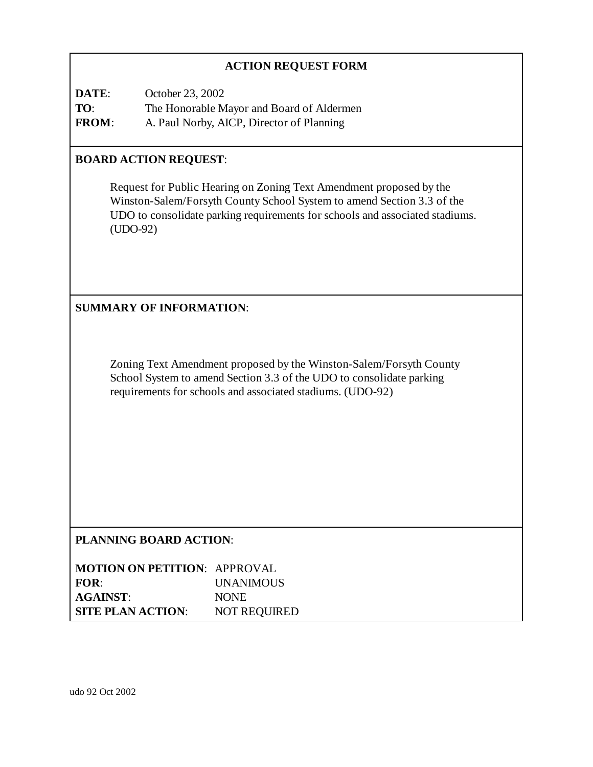# **ACTION REQUEST FORM**

**DATE**: October 23, 2002 **TO**: The Honorable Mayor and Board of Aldermen **FROM**: A. Paul Norby, AICP, Director of Planning

### **BOARD ACTION REQUEST**:

Request for Public Hearing on Zoning Text Amendment proposed by the Winston-Salem/Forsyth County School System to amend Section 3.3 of the UDO to consolidate parking requirements for schools and associated stadiums. (UDO-92)

# **SUMMARY OF INFORMATION**:

Zoning Text Amendment proposed by the Winston-Salem/Forsyth County School System to amend Section 3.3 of the UDO to consolidate parking requirements for schools and associated stadiums. (UDO-92)

# **PLANNING BOARD ACTION**:

**MOTION ON PETITION**: APPROVAL **FOR**: UNANIMOUS **AGAINST**: NONE **SITE PLAN ACTION**: NOT REQUIRED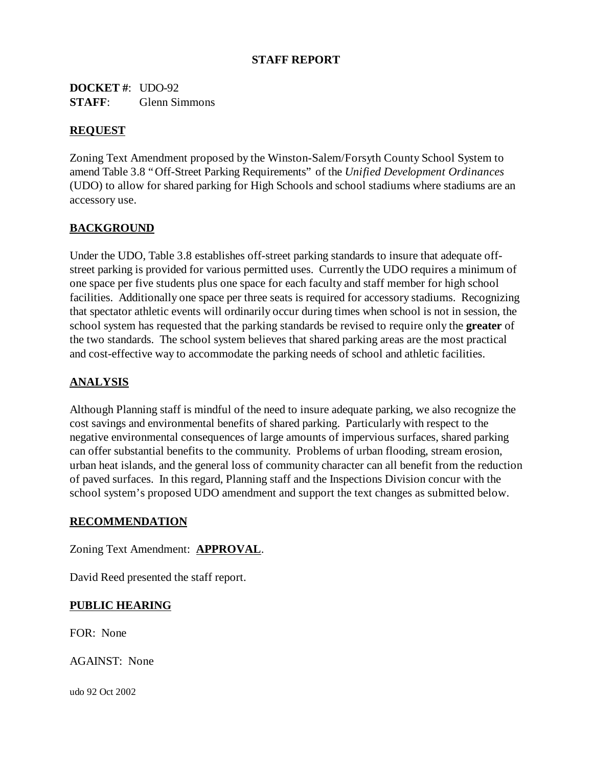### **STAFF REPORT**

**DOCKET #**: UDO-92 **STAFF**: Glenn Simmons

### **REQUEST**

Zoning Text Amendment proposed by the Winston-Salem/Forsyth County School System to amend Table 3.8 "Off-Street Parking Requirements" of the *Unified Development Ordinances* (UDO) to allow for shared parking for High Schools and school stadiums where stadiums are an accessory use.

# **BACKGROUND**

Under the UDO, Table 3.8 establishes off-street parking standards to insure that adequate offstreet parking is provided for various permitted uses. Currently the UDO requires a minimum of one space per five students plus one space for each faculty and staff member for high school facilities. Additionally one space per three seats is required for accessory stadiums. Recognizing that spectator athletic events will ordinarily occur during times when school is not in session, the school system has requested that the parking standards be revised to require only the **greater** of the two standards. The school system believes that shared parking areas are the most practical and cost-effective way to accommodate the parking needs of school and athletic facilities.

# **ANALYSIS**

Although Planning staff is mindful of the need to insure adequate parking, we also recognize the cost savings and environmental benefits of shared parking. Particularly with respect to the negative environmental consequences of large amounts of impervious surfaces, shared parking can offer substantial benefits to the community. Problems of urban flooding, stream erosion, urban heat islands, and the general loss of community character can all benefit from the reduction of paved surfaces. In this regard, Planning staff and the Inspections Division concur with the school system's proposed UDO amendment and support the text changes as submitted below.

#### **RECOMMENDATION**

Zoning Text Amendment: **APPROVAL**.

David Reed presented the staff report.

### **PUBLIC HEARING**

FOR: None

AGAINST: None

udo 92 Oct 2002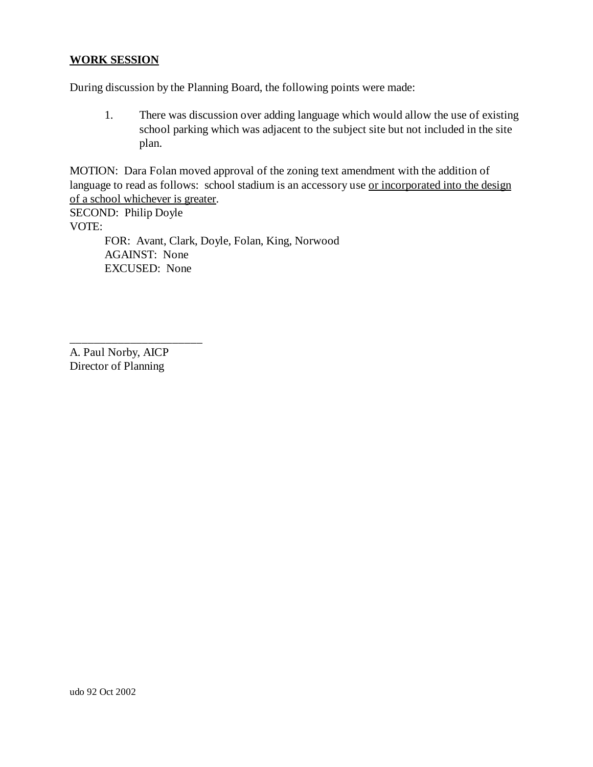#### **WORK SESSION**

During discussion by the Planning Board, the following points were made:

1. There was discussion over adding language which would allow the use of existing school parking which was adjacent to the subject site but not included in the site plan.

MOTION: Dara Folan moved approval of the zoning text amendment with the addition of language to read as follows: school stadium is an accessory use <u>or incorporated into the design</u> of a school whichever is greater.

SECOND: Philip Doyle VOTE: FOR: Avant, Clark, Doyle, Folan, King, Norwood AGAINST: None EXCUSED: None

A. Paul Norby, AICP Director of Planning

\_\_\_\_\_\_\_\_\_\_\_\_\_\_\_\_\_\_\_\_\_\_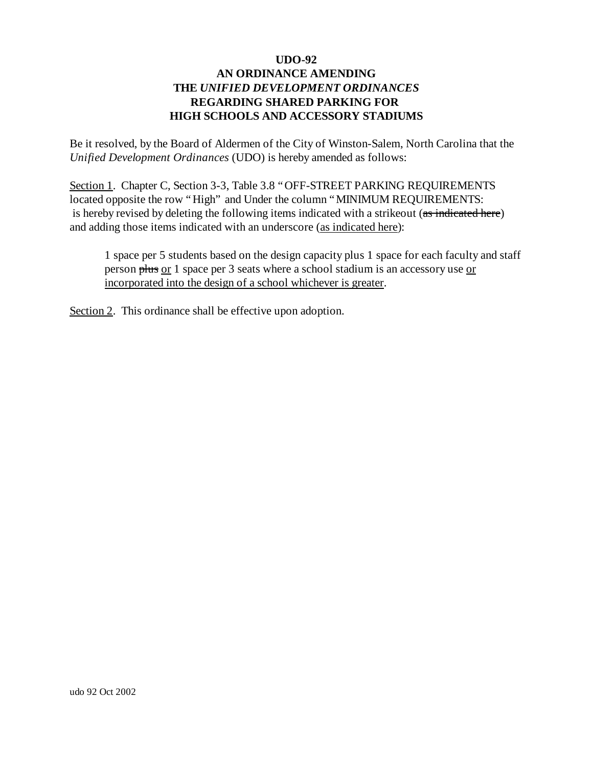Be it resolved, by the Board of Aldermen of the City of Winston-Salem, North Carolina that the *Unified Development Ordinances* (UDO) is hereby amended as follows:

Section 1. Chapter C, Section 3-3, Table 3.8 "OFF-STREET PARKING REQUIREMENTS located opposite the row "High" and Under the column "MINIMUM REQUIREMENTS: is hereby revised by deleting the following items indicated with a strikeout (as indicated here) and adding those items indicated with an underscore (as indicated here):

1 space per 5 students based on the design capacity plus 1 space for each faculty and staff person plus or 1 space per 3 seats where a school stadium is an accessory use or incorporated into the design of a school whichever is greater.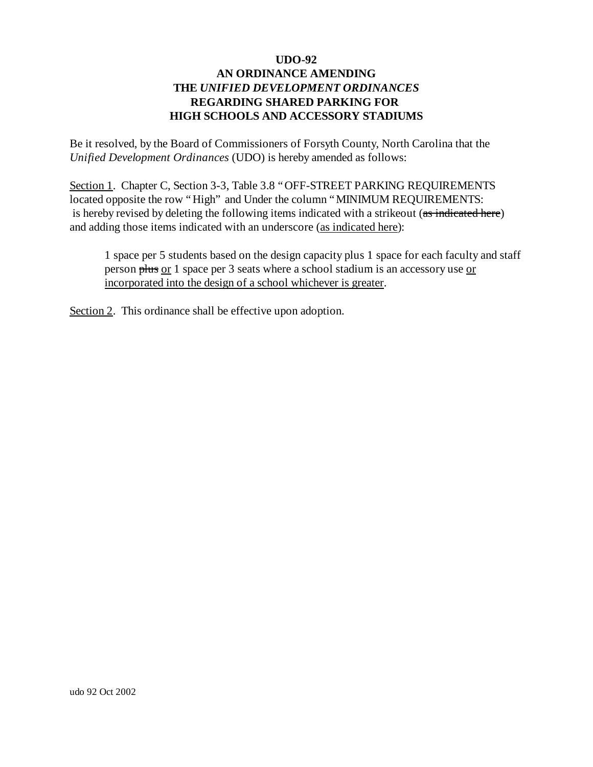Be it resolved, by the Board of Commissioners of Forsyth County, North Carolina that the *Unified Development Ordinances* (UDO) is hereby amended as follows:

Section 1. Chapter C, Section 3-3, Table 3.8 "OFF-STREET PARKING REQUIREMENTS located opposite the row "High" and Under the column "MINIMUM REQUIREMENTS: is hereby revised by deleting the following items indicated with a strikeout (as indicated here) and adding those items indicated with an underscore (as indicated here):

1 space per 5 students based on the design capacity plus 1 space for each faculty and staff person plus or 1 space per 3 seats where a school stadium is an accessory use or incorporated into the design of a school whichever is greater.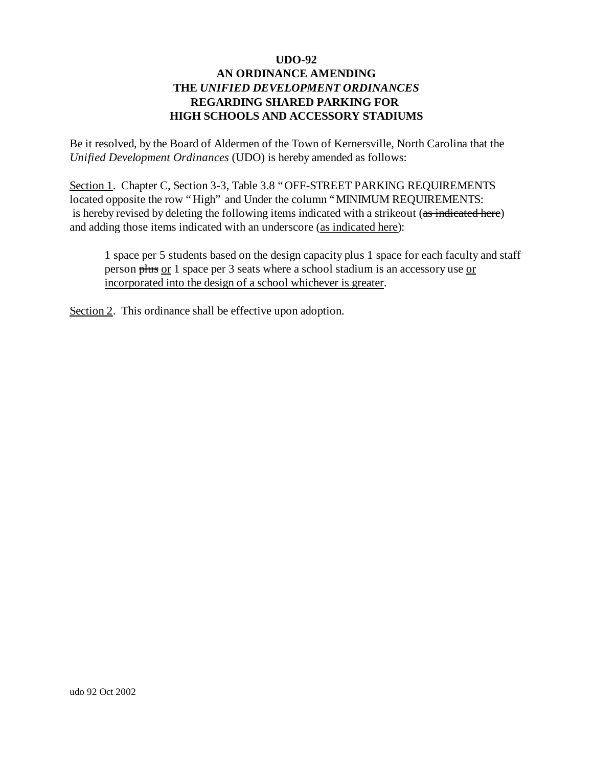Be it resolved, by the Board of Aldermen of the Town of Kernersville, North Carolina that the *Unified Development Ordinances* (UDO) is hereby amended as follows:

Section 1. Chapter C, Section 3-3, Table 3.8 "OFF-STREET PARKING REQUIREMENTS located opposite the row "High" and Under the column "MINIMUM REQUIREMENTS: is hereby revised by deleting the following items indicated with a strikeout (as indicated here) and adding those items indicated with an underscore (as indicated here):

1 space per 5 students based on the design capacity plus 1 space for each faculty and staff person plus or 1 space per 3 seats where a school stadium is an accessory use or incorporated into the design of a school whichever is greater.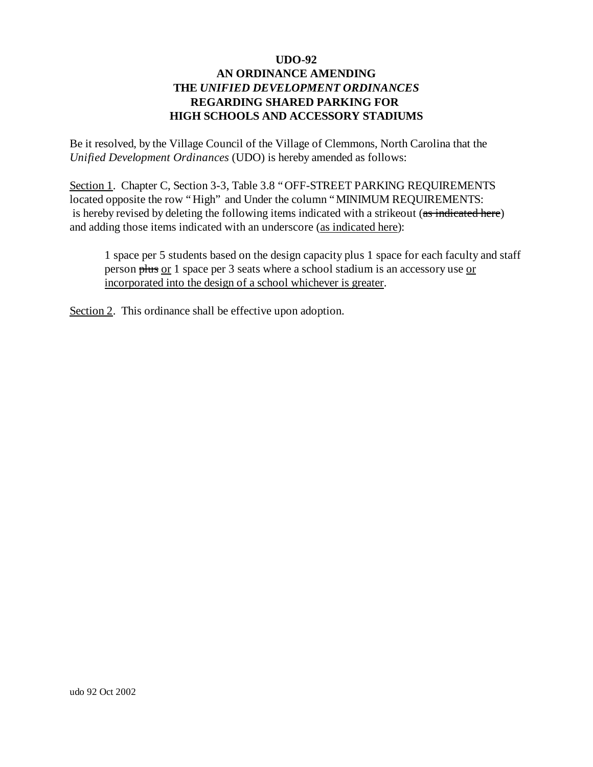Be it resolved, by the Village Council of the Village of Clemmons, North Carolina that the *Unified Development Ordinances* (UDO) is hereby amended as follows:

Section 1. Chapter C, Section 3-3, Table 3.8 "OFF-STREET PARKING REQUIREMENTS located opposite the row "High" and Under the column "MINIMUM REQUIREMENTS: is hereby revised by deleting the following items indicated with a strikeout (as indicated here) and adding those items indicated with an underscore (as indicated here):

1 space per 5 students based on the design capacity plus 1 space for each faculty and staff person plus or 1 space per 3 seats where a school stadium is an accessory use or incorporated into the design of a school whichever is greater.